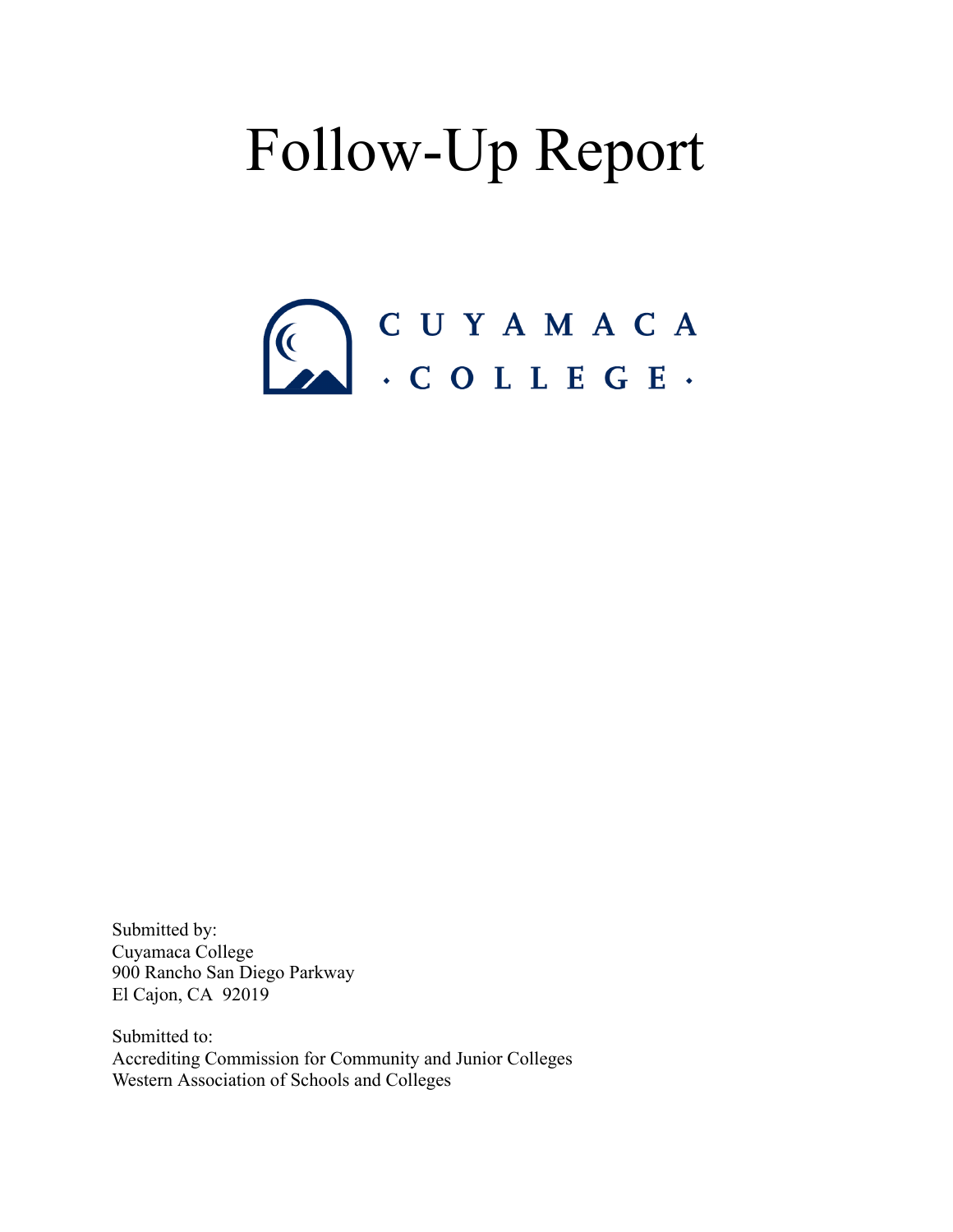# Follow-Up Report



Submitted by: Cuyamaca College 900 Rancho San Diego Parkway El Cajon, CA 92019

Submitted to: Accrediting Commission for Community and Junior Colleges Western Association of Schools and Colleges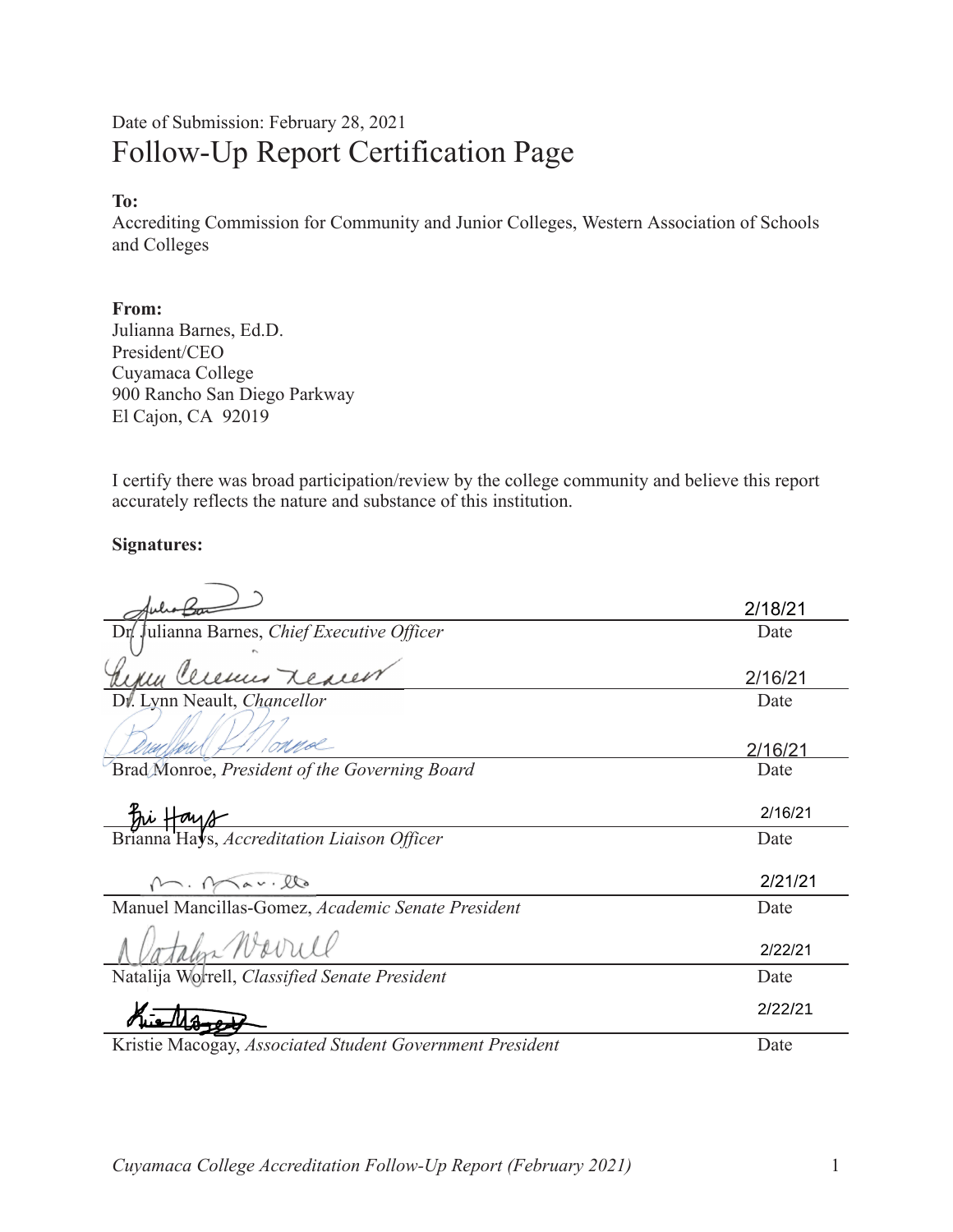#### Date of Submission: February 28, 2021 Follow-Up Report Certification Page

#### To:

Accrediting Commission for Community and Junior Colleges, Western Association of Schools and Colleges

#### From:

Julianna Barnes, Ed.D. President/CEO Cuyamaca College 900 Rancho San Diego Parkway El Cajon, CA 92019

I certify there was broad participation/review by the college community and believe this report accurately reflects the nature and substance of this institution.

#### **Signatures:**

|                                                               | 2/18/21 |
|---------------------------------------------------------------|---------|
| Julianna Barnes, Chief Executive Officer<br>Dr/               | Date    |
|                                                               |         |
| you Ceremin Reacen                                            | 2/16/21 |
| Di. Lynn Neault, Chancellor                                   | Date    |
|                                                               | 2/16/21 |
| Brad Monroe, President of the Governing Board                 | Date    |
|                                                               |         |
|                                                               | 2/16/21 |
| Frianna Hay 8-<br>Brianna Hays, Accreditation Liaison Officer | Date    |
|                                                               |         |
| M. Mar.llo                                                    | 2/21/21 |
| Manuel Mancillas-Gomez, Academic Senate President             | Date    |
| Jotalen Warrill                                               | 2/22/21 |
| Natalija Worrell, Classified Senate President                 | Date    |
|                                                               | 2/22/21 |
| Kristie Macogay, Associated Student Government President      | Date    |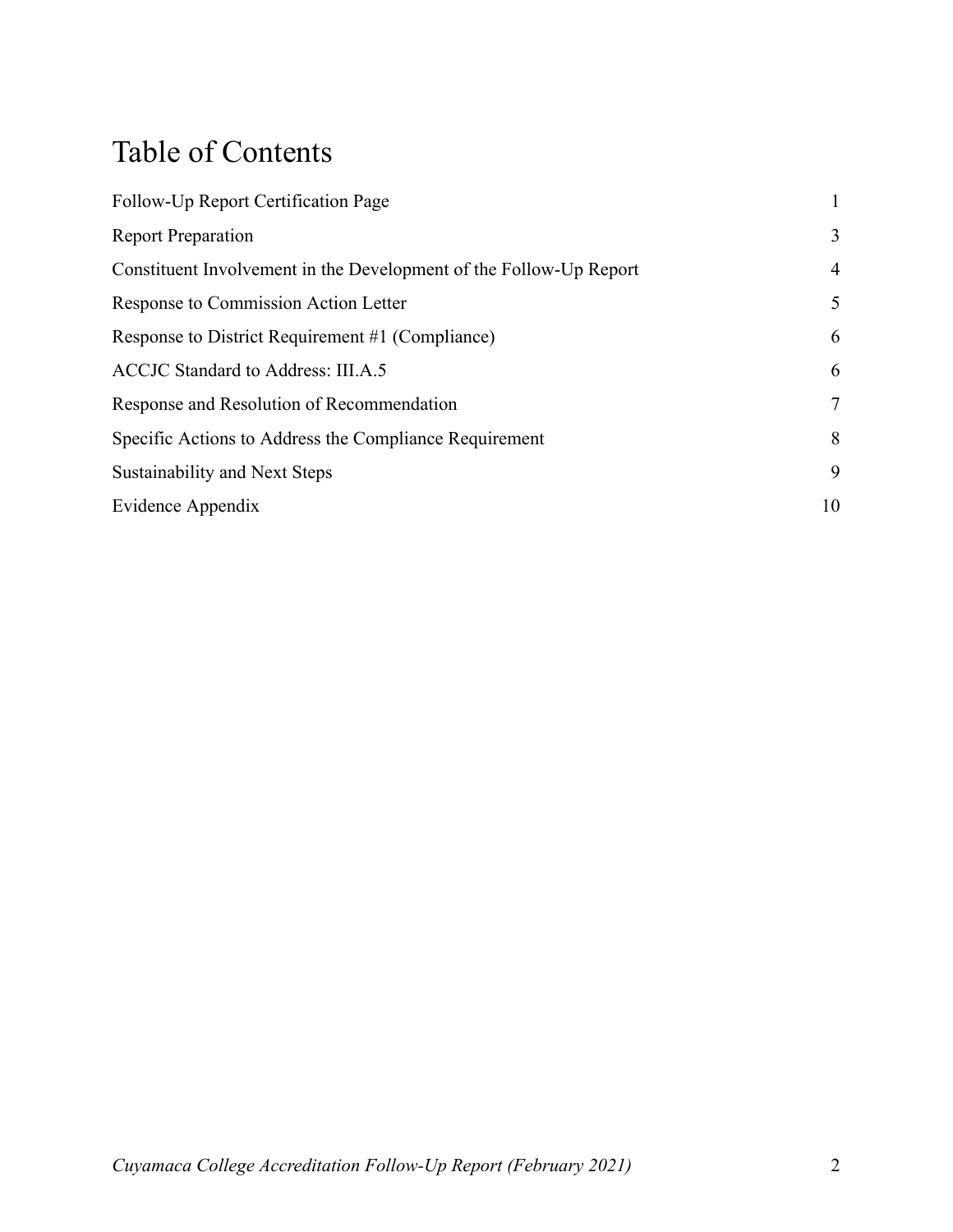### Table of Contents

| Follow-Up Report Certification Page                                |    |
|--------------------------------------------------------------------|----|
| <b>Report Preparation</b>                                          | 3  |
| Constituent Involvement in the Development of the Follow-Up Report | 4  |
| Response to Commission Action Letter                               | 5  |
| Response to District Requirement #1 (Compliance)                   | 6  |
| ACCJC Standard to Address: III.A.5                                 | 6  |
| Response and Resolution of Recommendation                          | 7  |
| Specific Actions to Address the Compliance Requirement             | 8  |
| Sustainability and Next Steps                                      | 9  |
| Evidence Appendix                                                  | 10 |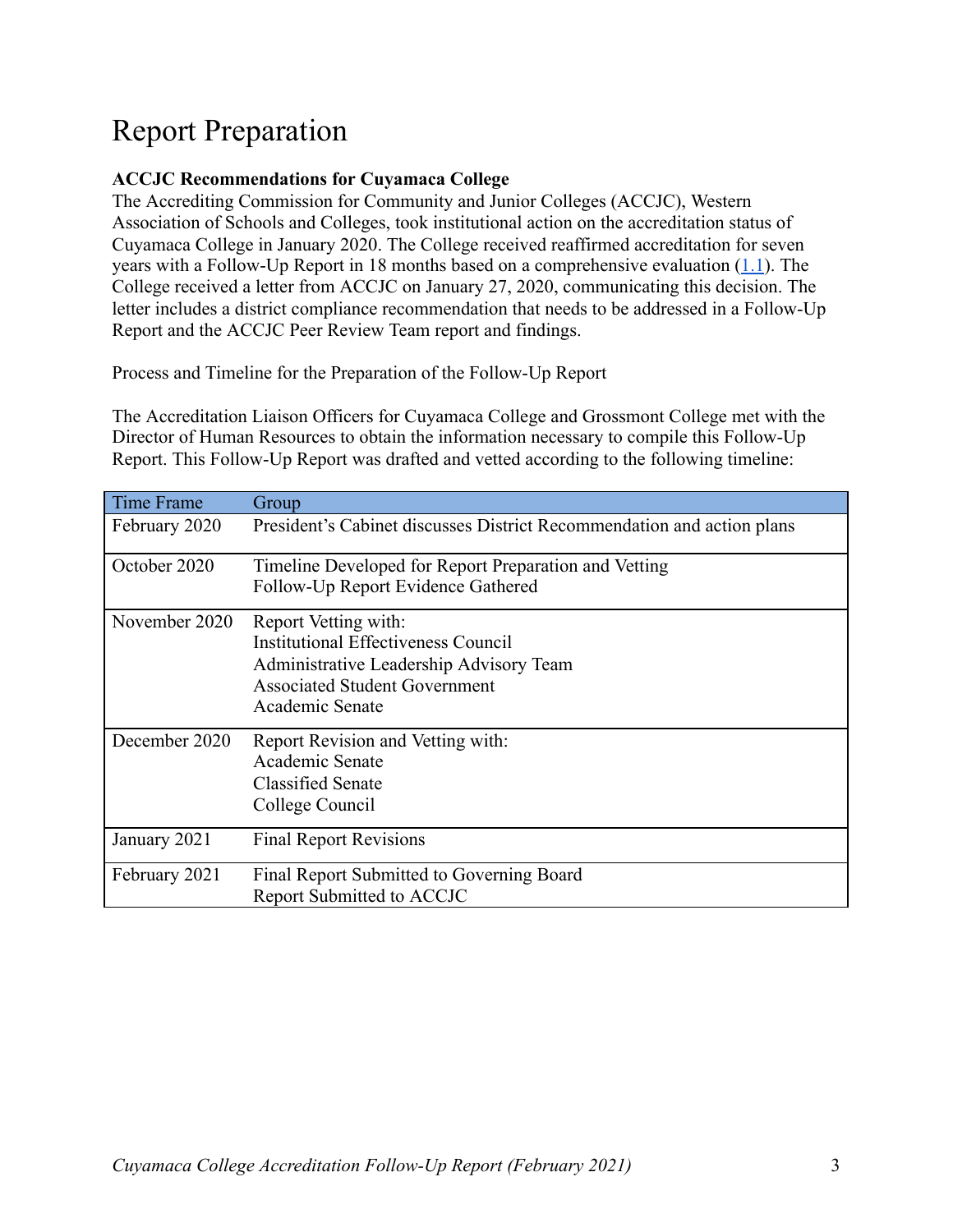### Report Preparation

#### **ACCJC Recommendations for Cuyamaca College**

The Accrediting Commission for Community and Junior Colleges (ACCJC), Western Association of Schools and Colleges, took institutional action on the accreditation status of Cuyamaca College in January 2020. The College received reaffirmed accreditation for seven years with a Follow-Up Report in 18 months based on a comprehensive evaluation  $(1.1)$ . The College received a letter from ACCJC on January 27, 2020, communicating this decision. The letter includes a district compliance recommendation that needs to be addressed in a Follow-Up Report and the ACCJC Peer Review Team report and findings.

Process and Timeline for the Preparation of the Follow-Up Report

The Accreditation Liaison Officers for Cuyamaca College and Grossmont College met with the Director of Human Resources to obtain the information necessary to compile this Follow-Up Report. This Follow-Up Report was drafted and vetted according to the following timeline:

| <b>Time Frame</b> | Group                                                                                                                                                             |
|-------------------|-------------------------------------------------------------------------------------------------------------------------------------------------------------------|
| February 2020     | President's Cabinet discusses District Recommendation and action plans                                                                                            |
| October 2020      | Timeline Developed for Report Preparation and Vetting<br>Follow-Up Report Evidence Gathered                                                                       |
| November 2020     | Report Vetting with:<br>Institutional Effectiveness Council<br>Administrative Leadership Advisory Team<br><b>Associated Student Government</b><br>Academic Senate |
| December 2020     | Report Revision and Vetting with:<br>Academic Senate<br><b>Classified Senate</b><br>College Council                                                               |
| January 2021      | <b>Final Report Revisions</b>                                                                                                                                     |
| February 2021     | Final Report Submitted to Governing Board<br>Report Submitted to ACCJC                                                                                            |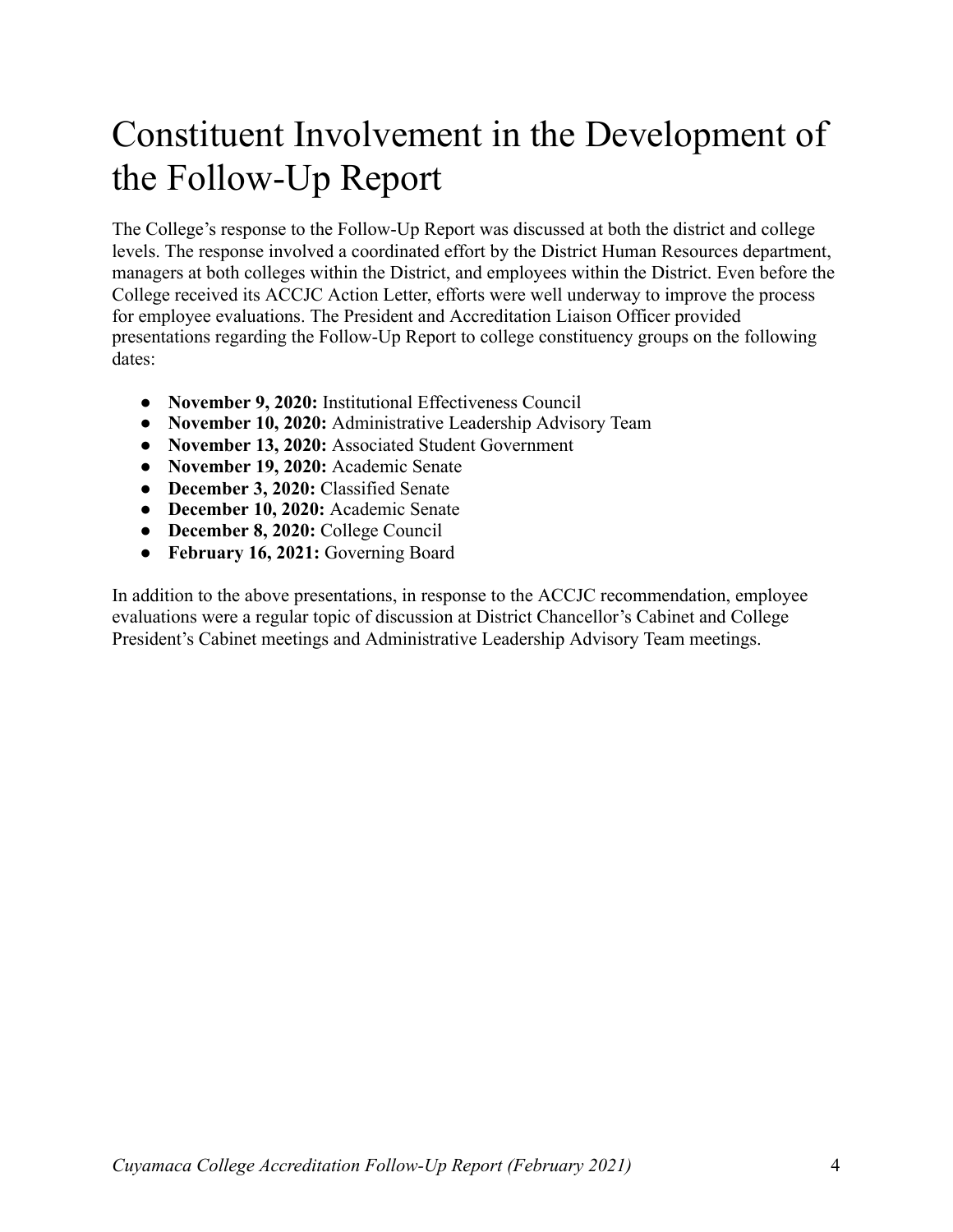## Constituent Involvement in the Development of the Follow-Up Report

The College's response to the Follow-Up Report was discussed at both the district and college levels. The response involved a coordinated effort by the District Human Resources department, managers at both colleges within the District, and employees within the District. Even before the College received its ACCJC Action Letter, efforts were well underway to improve the process for employee evaluations. The President and Accreditation Liaison Officer provided presentations regarding the Follow-Up Report to college constituency groups on the following dates:

- **November 9, 2020:** Institutional Effectiveness Council
- **November 10, 2020:** Administrative Leadership Advisory Team
- **November 13, 2020:** Associated Student Government
- **November 19, 2020:** Academic Senate
- **December 3, 2020:** Classified Senate
- **December 10, 2020:** Academic Senate
- **December 8, 2020:** College Council
- **February 16, 2021:** Governing Board

In addition to the above presentations, in response to the ACCJC recommendation, employee evaluations were a regular topic of discussion at District Chancellor's Cabinet and College President's Cabinet meetings and Administrative Leadership Advisory Team meetings.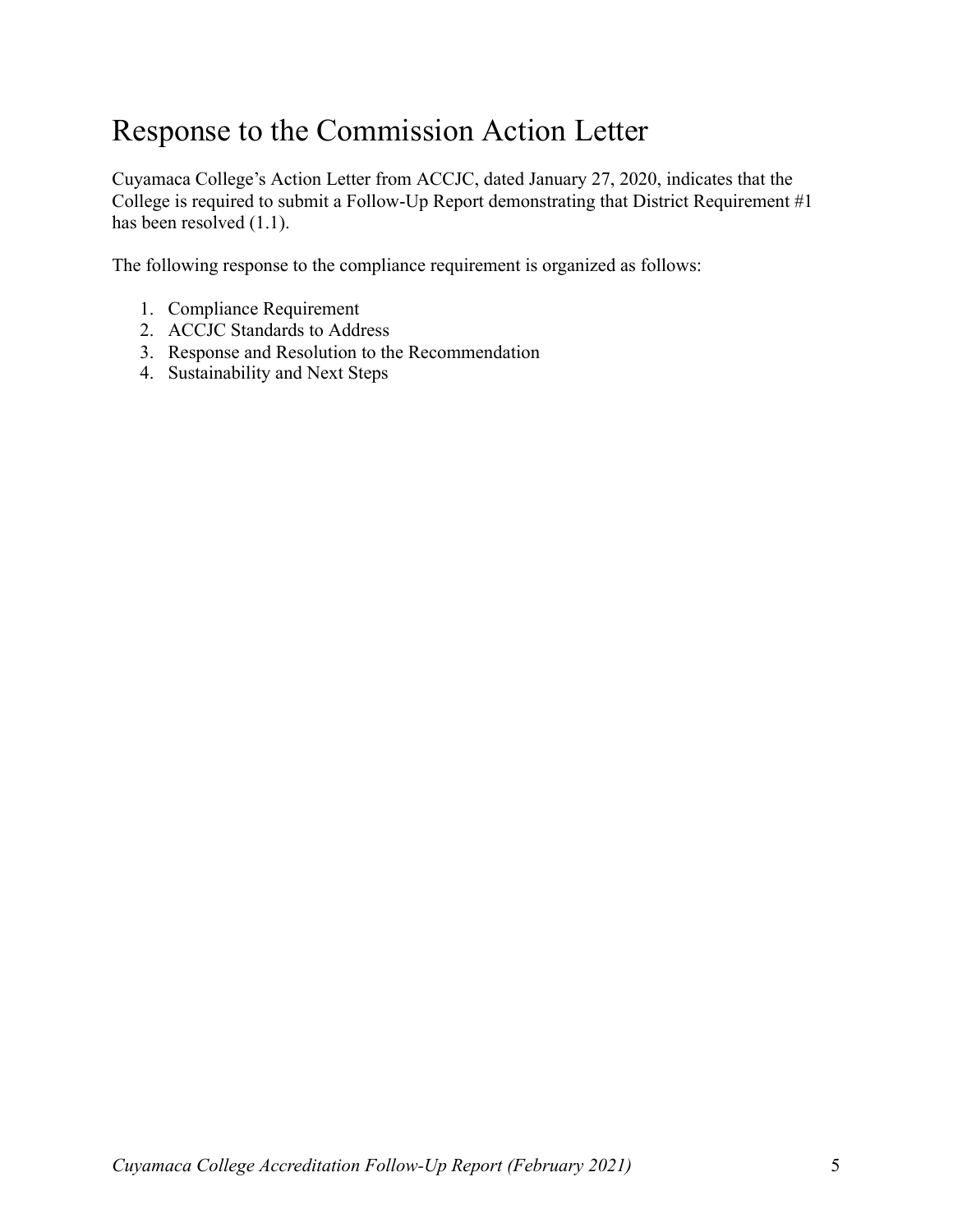#### Response to the Commission Action Letter

Cuyamaca College's Action Letter from ACCJC, dated January 27, 2020, indicates that the College is required to submit a Follow-Up Report demonstrating that District Requirement #1 has been resolved  $(1.1)$ .

The following response to the compliance requirement is organized as follows:

- 1. Compliance Requirement
- 2. ACCJC Standards to Address
- 3. Response and Resolution to the Recommendation
- 4. Sustainability and Next Steps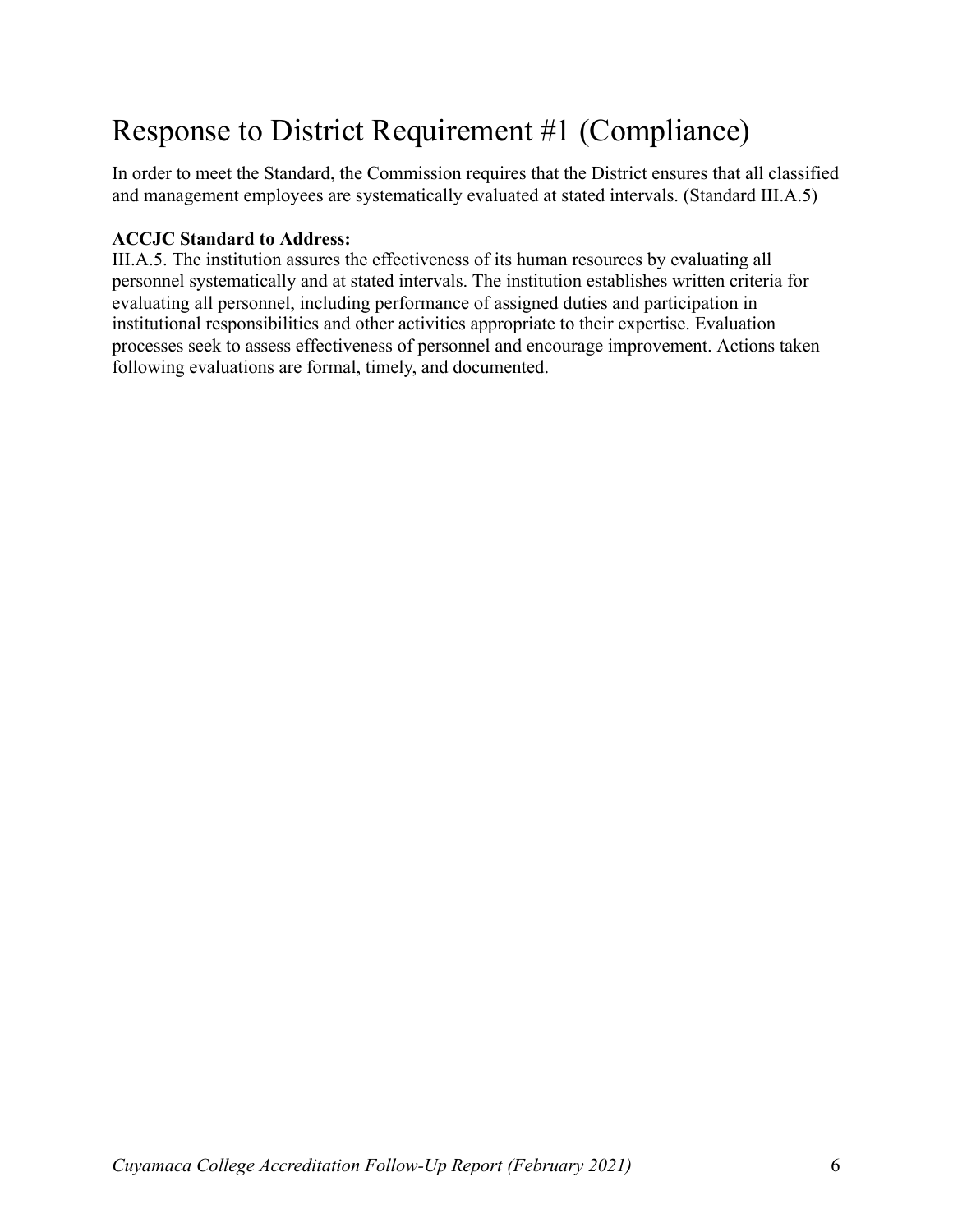### Response to District Requirement #1 (Compliance)

In order to meet the Standard, the Commission requires that the District ensures that all classified and management employees are systematically evaluated at stated intervals. (Standard III.A.5)

#### **ACCJC Standard to Address:**

III.A.5. The institution assures the effectiveness of its human resources by evaluating all personnel systematically and at stated intervals. The institution establishes written criteria for evaluating all personnel, including performance of assigned duties and participation in institutional responsibilities and other activities appropriate to their expertise. Evaluation processes seek to assess effectiveness of personnel and encourage improvement. Actions taken following evaluations are formal, timely, and documented.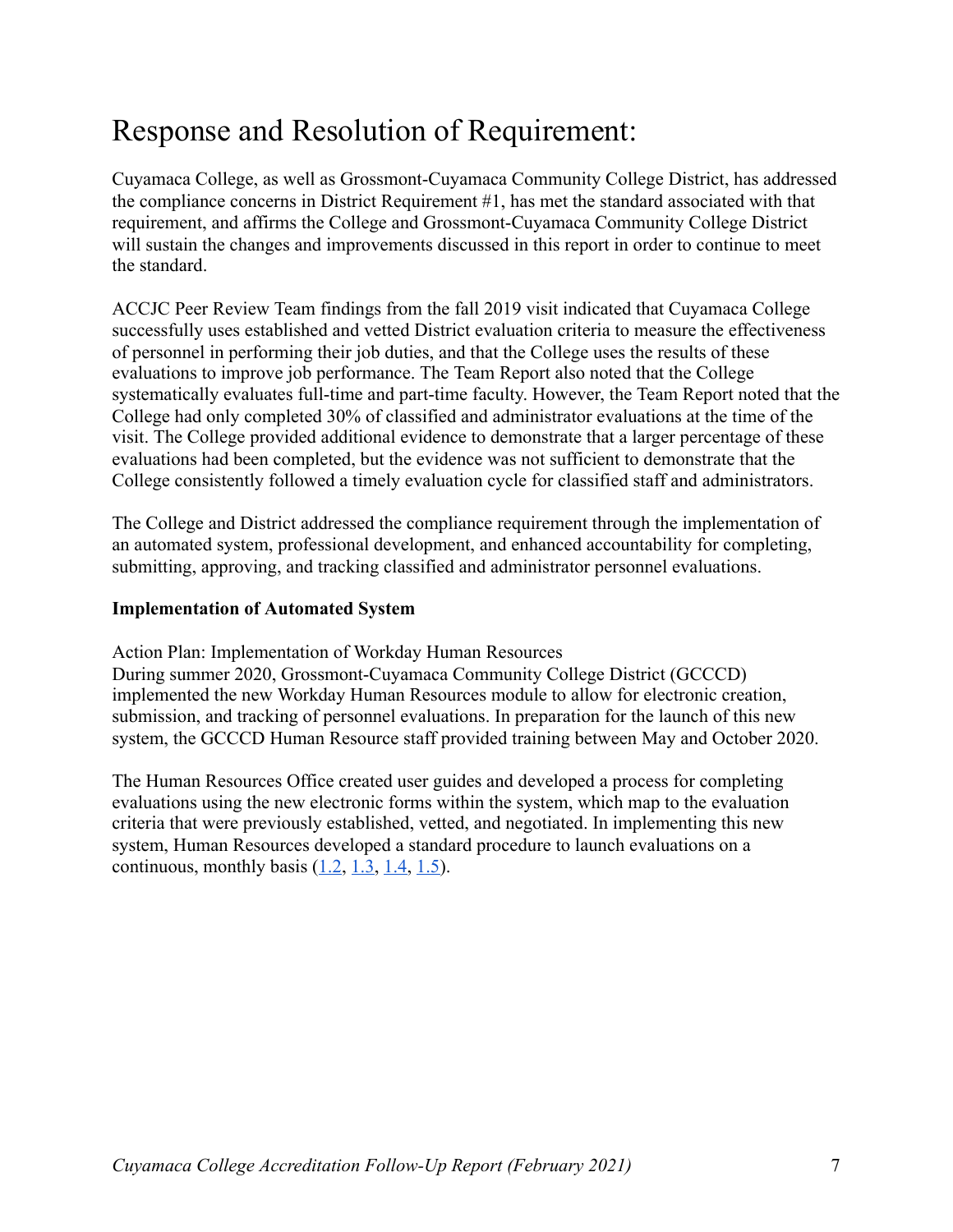### Response and Resolution of Requirement:

Cuyamaca College, as well as Grossmont-Cuyamaca Community College District, has addressed the compliance concerns in District Requirement #1, has met the standard associated with that requirement, and affirms the College and Grossmont-Cuyamaca Community College District will sustain the changes and improvements discussed in this report in order to continue to meet the standard.

ACCJC Peer Review Team findings from the fall 2019 visit indicated that Cuyamaca College successfully uses established and vetted District evaluation criteria to measure the effectiveness of personnel in performing their job duties, and that the College uses the results of these evaluations to improve job performance. The Team Report also noted that the College systematically evaluates full-time and part-time faculty. However, the Team Report noted that the College had only completed 30% of classified and administrator evaluations at the time of the visit. The College provided additional evidence to demonstrate that a larger percentage of these evaluations had been completed, but the evidence was not sufficient to demonstrate that the College consistently followed a timely evaluation cycle for classified staff and administrators.

The College and District addressed the compliance requirement through the implementation of an automated system, professional development, and enhanced accountability for completing, submitting, approving, and tracking classified and administrator personnel evaluations.

#### **Implementation of Automated System**

Action Plan: Implementation of Workday Human Resources

During summer 2020, Grossmont-Cuyamaca Community College District (GCCCD) implemented the new Workday Human Resources module to allow for electronic creation, submission, and tracking of personnel evaluations. In preparation for the launch of this new system, the GCCCD Human Resource staff provided training between May and October 2020.

The Human Resources Office created user guides and developed a process for completing evaluations using the new electronic forms within the system, which map to the evaluation criteria that were previously established, vetted, and negotiated. In implementing this new system, Human Resources developed a standard procedure to launch evaluations on a continuous, monthly basis  $(1.2, 1.3, 1.4, 1.5)$ .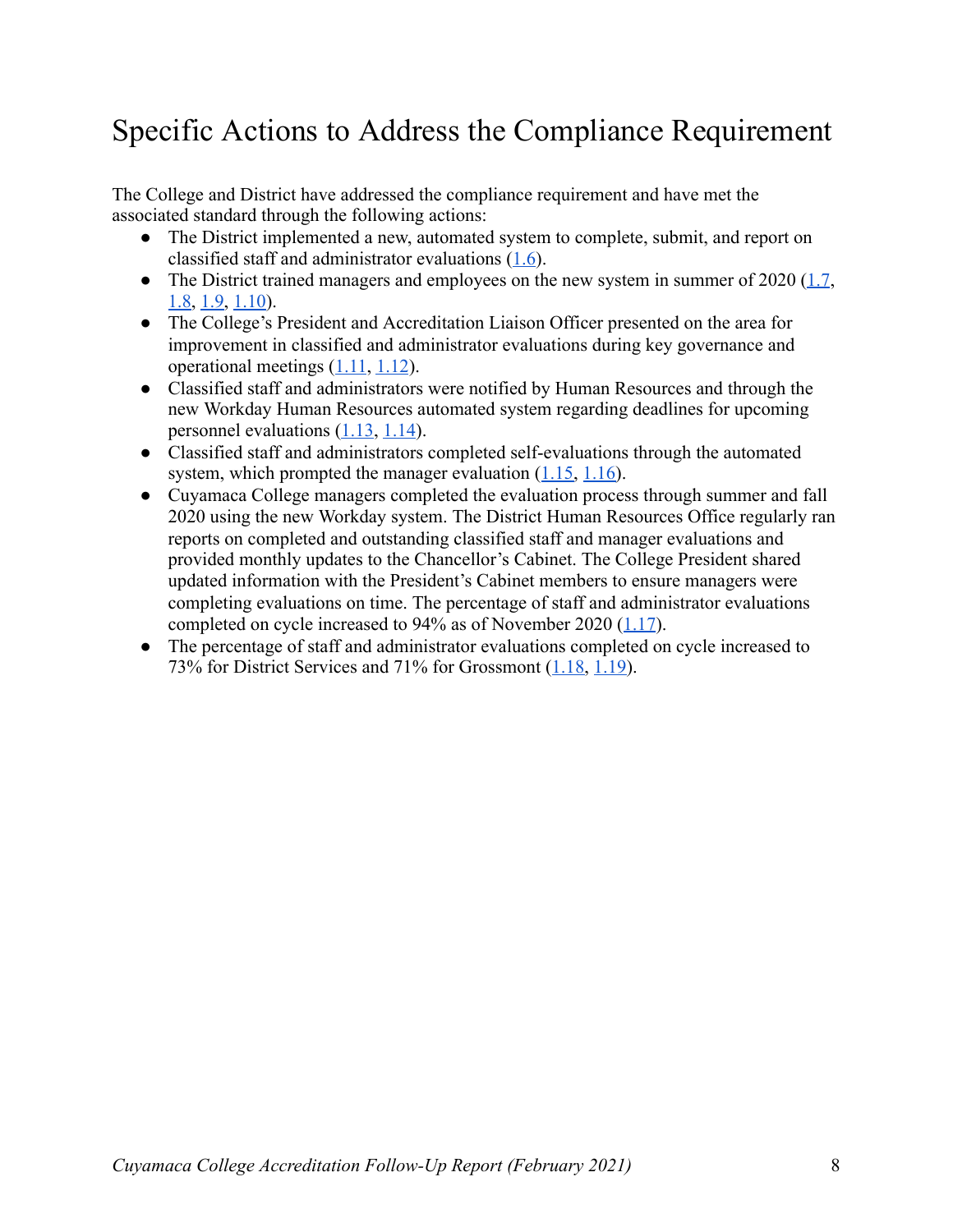### Specific Actions to Address the Compliance Requirement

The College and District have addressed the compliance requirement and have met the associated standard through the following actions:

- The District implemented a new, automated system to complete, submit, and report on classified staff and administrator evaluations  $(1.6)$ .
- The District trained managers and employees on the new system in summer of  $2020$  (1.7, [1.8](https://drive.google.com/file/d/1N7gSShhFJCozDaDXOZx9kRlYWUndVPra/view?usp=sharing), [1.9](https://drive.google.com/file/d/1_wO5bYyzW3q_5-q92ehlV_kvThs0N83m/view?usp=sharing), [1.10](https://drive.google.com/file/d/19ZFYzeZR-MLV1tqyfR3KpeHxlv_Vvtpt/view?usp=sharing)).
- The College's President and Accreditation Liaison Officer presented on the area for improvement in classified and administrator evaluations during key governance and operational meetings  $(1.11, 1.12)$  $(1.11, 1.12)$  $(1.11, 1.12)$ .
- Classified staff and administrators were notified by Human Resources and through the new Workday Human Resources automated system regarding deadlines for upcoming personnel evaluations  $(1.13, 1.14)$  $(1.13, 1.14)$  $(1.13, 1.14)$ .
- Classified staff and administrators completed self-evaluations through the automated system, which prompted the manager evaluation  $(1.15, 1.16)$  $(1.15, 1.16)$  $(1.15, 1.16)$ .
- Cuyamaca College managers completed the evaluation process through summer and fall 2020 using the new Workday system. The District Human Resources Office regularly ran reports on completed and outstanding classified staff and manager evaluations and provided monthly updates to the Chancellor's Cabinet. The College President shared updated information with the President's Cabinet members to ensure managers were completing evaluations on time. The percentage of staff and administrator evaluations completed on cycle increased to  $94\%$  as of November 2020 (1.17).
- The percentage of staff and administrator evaluations completed on cycle increased to 73% for District Services and 71% for Grossmont  $(1.18, 1.19)$ .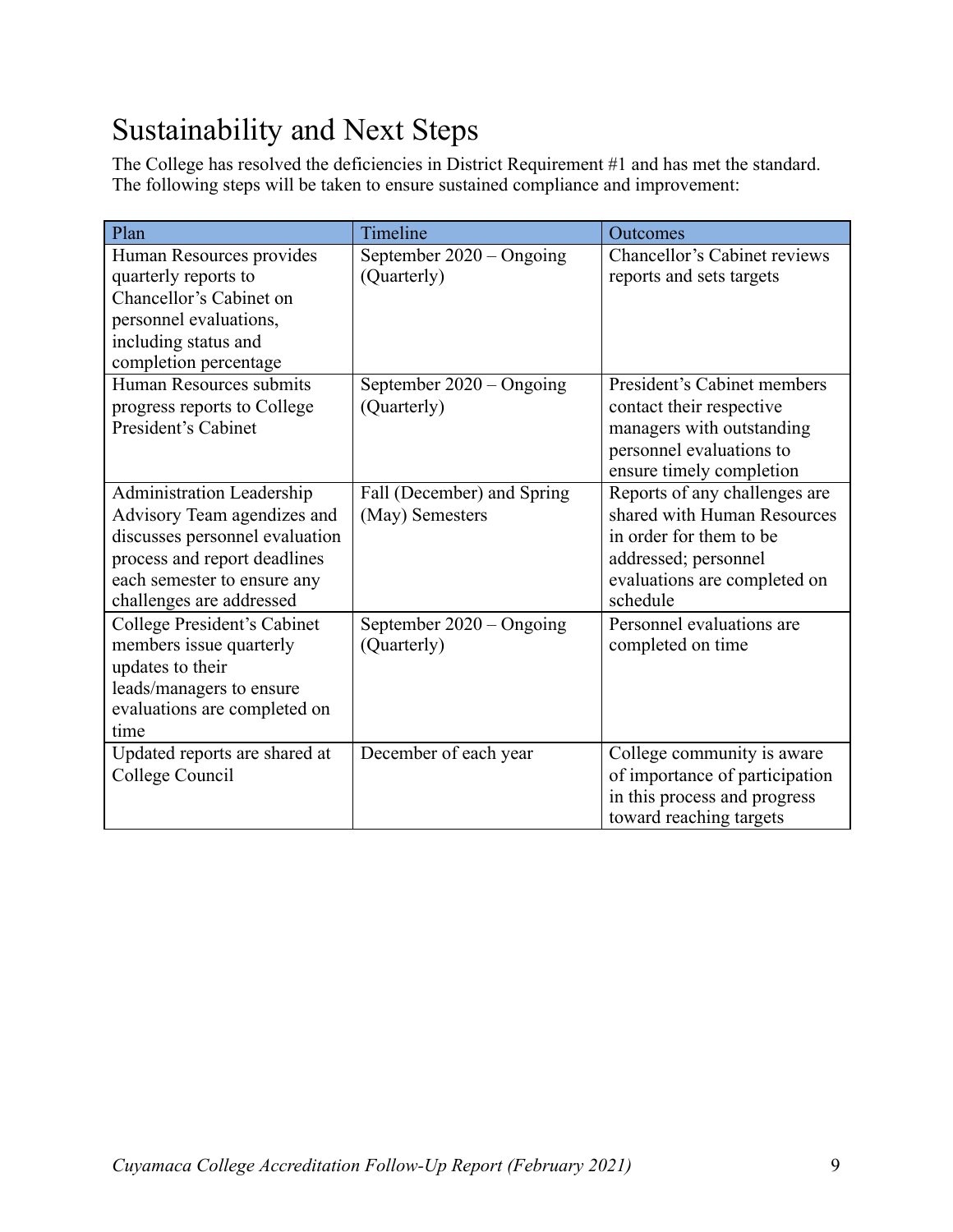### Sustainability and Next Steps

The College has resolved the deficiencies in District Requirement #1 and has met the standard. The following steps will be taken to ensure sustained compliance and improvement:

| Plan                                                                                                                                                                                  | Timeline                                      | Outcomes                                                                                                                                                    |
|---------------------------------------------------------------------------------------------------------------------------------------------------------------------------------------|-----------------------------------------------|-------------------------------------------------------------------------------------------------------------------------------------------------------------|
| Human Resources provides<br>quarterly reports to<br>Chancellor's Cabinet on<br>personnel evaluations,<br>including status and<br>completion percentage                                | September 2020 - Ongoing<br>(Quarterly)       | Chancellor's Cabinet reviews<br>reports and sets targets                                                                                                    |
| Human Resources submits<br>progress reports to College<br>President's Cabinet                                                                                                         | September 2020 - Ongoing<br>(Quarterly)       | President's Cabinet members<br>contact their respective<br>managers with outstanding<br>personnel evaluations to<br>ensure timely completion                |
| Administration Leadership<br>Advisory Team agendizes and<br>discusses personnel evaluation<br>process and report deadlines<br>each semester to ensure any<br>challenges are addressed | Fall (December) and Spring<br>(May) Semesters | Reports of any challenges are<br>shared with Human Resources<br>in order for them to be<br>addressed; personnel<br>evaluations are completed on<br>schedule |
| College President's Cabinet<br>members issue quarterly<br>updates to their<br>leads/managers to ensure<br>evaluations are completed on<br>time                                        | September 2020 - Ongoing<br>(Quarterly)       | Personnel evaluations are<br>completed on time                                                                                                              |
| Updated reports are shared at<br>College Council                                                                                                                                      | December of each year                         | College community is aware<br>of importance of participation<br>in this process and progress<br>toward reaching targets                                     |